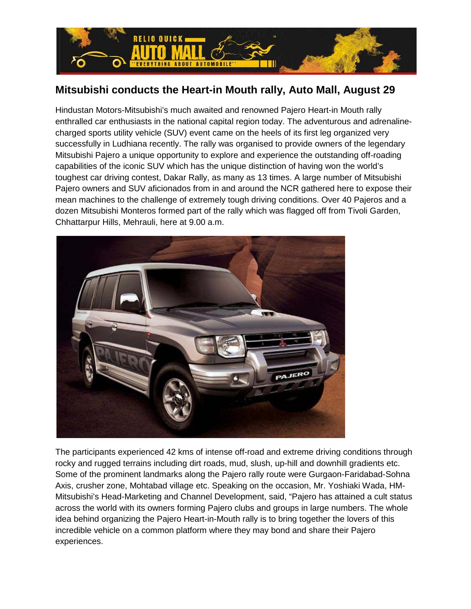

## **Mitsubishi conducts the Heart-in Mouth rally, Auto Mall, August 29**

Hindustan Motors-Mitsubishi's much awaited and renowned Pajero Heart-in Mouth rally enthralled car enthusiasts in the national capital region today. The adventurous and adrenalinecharged sports utility vehicle (SUV) event came on the heels of its first leg organized very successfully in Ludhiana recently. The rally was organised to provide owners of the legendary Mitsubishi Pajero a unique opportunity to explore and experience the outstanding off-roading capabilities of the iconic SUV which has the unique distinction of having won the world's toughest car driving contest, Dakar Rally, as many as 13 times. A large number of Mitsubishi Pajero owners and SUV aficionados from in and around the NCR gathered here to expose their mean machines to the challenge of extremely tough driving conditions. Over 40 Pajeros and a dozen Mitsubishi Monteros formed part of the rally which was flagged off from Tivoli Garden, Chhattarpur Hills, Mehrauli, here at 9.00 a.m.



The participants experienced 42 kms of intense off-road and extreme driving conditions through rocky and rugged terrains including dirt roads, mud, slush, up-hill and downhill gradients etc. Some of the prominent landmarks along the Pajero rally route were Gurgaon-Faridabad-Sohna Axis, crusher zone, Mohtabad village etc. Speaking on the occasion, Mr. Yoshiaki Wada, HM-Mitsubishi's Head-Marketing and Channel Development, said, "Pajero has attained a cult status across the world with its owners forming Pajero clubs and groups in large numbers. The whole idea behind organizing the Pajero Heart-in-Mouth rally is to bring together the lovers of this incredible vehicle on a common platform where they may bond and share their Pajero experiences.